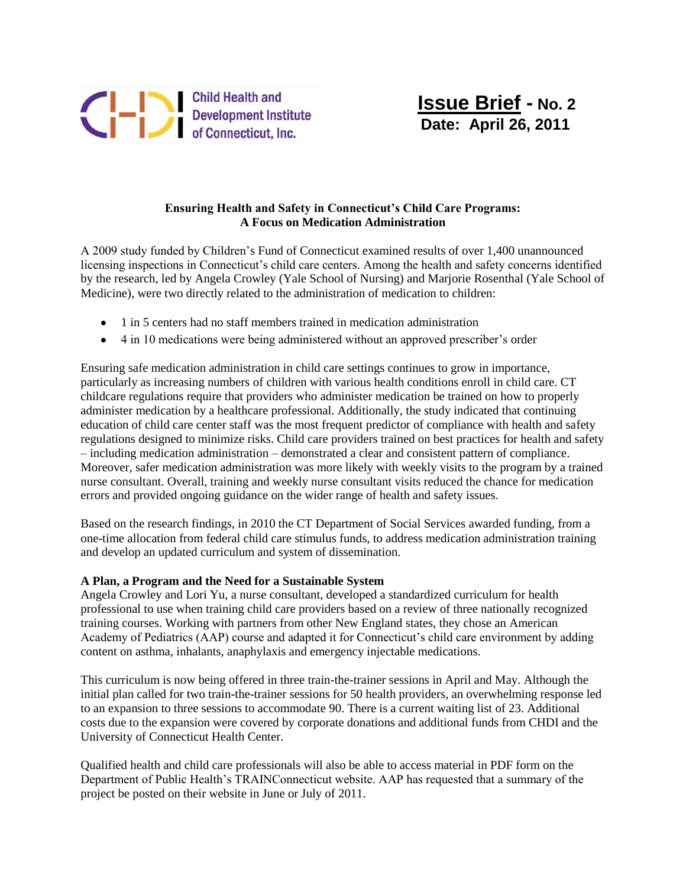

## **Ensuring Health and Safety in Connecticut's Child Care Programs: A Focus on Medication Administration**

A 2009 study funded by Children's Fund of Connecticut examined results of over 1,400 unannounced licensing inspections in Connecticut's child care centers. Among the health and safety concerns identified by the research, led by Angela Crowley (Yale School of Nursing) and Marjorie Rosenthal (Yale School of Medicine), were two directly related to the administration of medication to children:

- 1 in 5 centers had no staff members trained in medication administration
- 4 in 10 medications were being administered without an approved prescriber's order

Ensuring safe medication administration in child care settings continues to grow in importance, particularly as increasing numbers of children with various health conditions enroll in child care. CT childcare regulations require that providers who administer medication be trained on how to properly administer medication by a healthcare professional. Additionally, the study indicated that continuing education of child care center staff was the most frequent predictor of compliance with health and safety regulations designed to minimize risks. Child care providers trained on best practices for health and safety – including medication administration – demonstrated a clear and consistent pattern of compliance. Moreover, safer medication administration was more likely with weekly visits to the program by a trained nurse consultant. Overall, training and weekly nurse consultant visits reduced the chance for medication errors and provided ongoing guidance on the wider range of health and safety issues.

Based on the research findings, in 2010 the CT Department of Social Services awarded funding, from a one-time allocation from federal child care stimulus funds, to address medication administration training and develop an updated curriculum and system of dissemination.

## **A Plan, a Program and the Need for a Sustainable System**

Angela Crowley and Lori Yu, a nurse consultant, developed a standardized curriculum for health professional to use when training child care providers based on a review of three nationally recognized training courses. Working with partners from other New England states, they chose an American Academy of Pediatrics (AAP) course and adapted it for Connecticut's child care environment by adding content on asthma, inhalants, anaphylaxis and emergency injectable medications.

This curriculum is now being offered in three train-the-trainer sessions in April and May. Although the initial plan called for two train-the-trainer sessions for 50 health providers, an overwhelming response led to an expansion to three sessions to accommodate 90. There is a current waiting list of 23. Additional costs due to the expansion were covered by corporate donations and additional funds from CHDI and the University of Connecticut Health Center.

Qualified health and child care professionals will also be able to access material in PDF form on the Department of Public Health's TRAINConnecticut website. AAP has requested that a summary of the project be posted on their website in June or July of 2011.